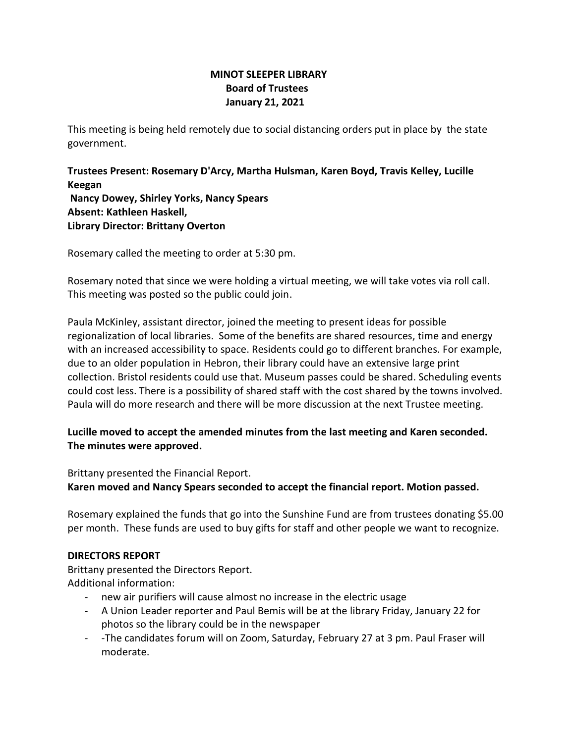## **MINOT SLEEPER LIBRARY Board of Trustees January 21, 2021**

This meeting is being held remotely due to social distancing orders put in place by the state government.

**Trustees Present: Rosemary D'Arcy, Martha Hulsman, Karen Boyd, Travis Kelley, Lucille Keegan Nancy Dowey, Shirley Yorks, Nancy Spears Absent: Kathleen Haskell, Library Director: Brittany Overton** 

Rosemary called the meeting to order at 5:30 pm.

Rosemary noted that since we were holding a virtual meeting, we will take votes via roll call. This meeting was posted so the public could join.

Paula McKinley, assistant director, joined the meeting to present ideas for possible regionalization of local libraries. Some of the benefits are shared resources, time and energy with an increased accessibility to space. Residents could go to different branches. For example, due to an older population in Hebron, their library could have an extensive large print collection. Bristol residents could use that. Museum passes could be shared. Scheduling events could cost less. There is a possibility of shared staff with the cost shared by the towns involved. Paula will do more research and there will be more discussion at the next Trustee meeting.

# **Lucille moved to accept the amended minutes from the last meeting and Karen seconded. The minutes were approved.**

Brittany presented the Financial Report.

**Karen moved and Nancy Spears seconded to accept the financial report. Motion passed.**

Rosemary explained the funds that go into the Sunshine Fund are from trustees donating \$5.00 per month. These funds are used to buy gifts for staff and other people we want to recognize.

### **DIRECTORS REPORT**

Brittany presented the Directors Report. Additional information:

- new air purifiers will cause almost no increase in the electric usage
- A Union Leader reporter and Paul Bemis will be at the library Friday, January 22 for photos so the library could be in the newspaper
- -The candidates forum will on Zoom, Saturday, February 27 at 3 pm. Paul Fraser will moderate.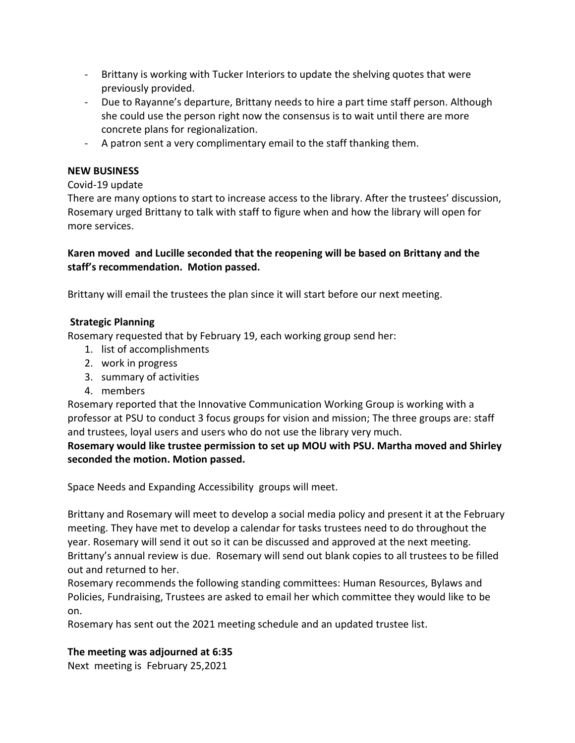- Brittany is working with Tucker Interiors to update the shelving quotes that were previously provided.
- Due to Rayanne's departure, Brittany needs to hire a part time staff person. Although she could use the person right now the consensus is to wait until there are more concrete plans for regionalization.
- A patron sent a very complimentary email to the staff thanking them.

## **NEW BUSINESS**

## Covid-19 update

There are many options to start to increase access to the library. After the trustees' discussion, Rosemary urged Brittany to talk with staff to figure when and how the library will open for more services.

# **Karen moved and Lucille seconded that the reopening will be based on Brittany and the staff's recommendation. Motion passed.**

Brittany will email the trustees the plan since it will start before our next meeting.

### **Strategic Planning**

Rosemary requested that by February 19, each working group send her:

- 1. list of accomplishments
- 2. work in progress
- 3. summary of activities
- 4. members

Rosemary reported that the Innovative Communication Working Group is working with a professor at PSU to conduct 3 focus groups for vision and mission; The three groups are: staff and trustees, loyal users and users who do not use the library very much.

# **Rosemary would like trustee permission to set up MOU with PSU. Martha moved and Shirley seconded the motion. Motion passed.**

Space Needs and Expanding Accessibility groups will meet.

Brittany and Rosemary will meet to develop a social media policy and present it at the February meeting. They have met to develop a calendar for tasks trustees need to do throughout the year. Rosemary will send it out so it can be discussed and approved at the next meeting. Brittany's annual review is due. Rosemary will send out blank copies to all trustees to be filled out and returned to her.

Rosemary recommends the following standing committees: Human Resources, Bylaws and Policies, Fundraising, Trustees are asked to email her which committee they would like to be on.

Rosemary has sent out the 2021 meeting schedule and an updated trustee list.

### **The meeting was adjourned at 6:35**

Next meeting is February 25,2021